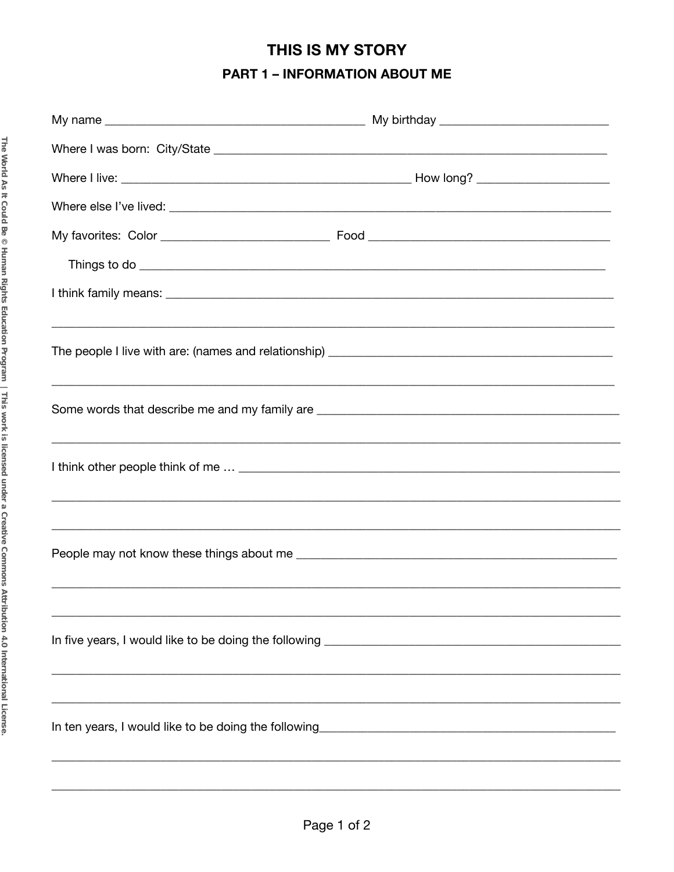## THIS IS MY STORY **PART 1 - INFORMATION ABOUT ME**

| ,我们也不能在这里的人,我们也不能在这里的人,我们也不能在这里的人,我们也不能在这里的人,我们也不能在这里的人,我们也不能在这里的人,我们也不能在这里的人,我们也 |  |
|-----------------------------------------------------------------------------------|--|
|                                                                                   |  |
|                                                                                   |  |
|                                                                                   |  |
|                                                                                   |  |
|                                                                                   |  |
|                                                                                   |  |
|                                                                                   |  |
|                                                                                   |  |
|                                                                                   |  |
|                                                                                   |  |
|                                                                                   |  |
|                                                                                   |  |